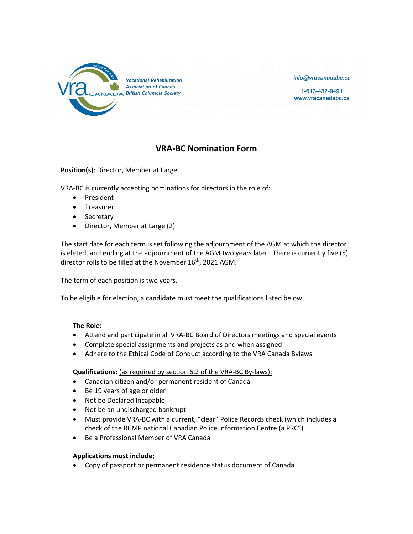

info@vracanadabc.ca

1-613-432-9491 www.vracanadabc.ca

## **VRA-BC Nomination Form**

**Position(s)**: Director, Member at Large

VRA-BC is currently accepting nominations for directors in the role of:

- President
- Treasurer
- Secretary
- Director, Member at Large (2)

The start date for each term is set following the adjournment of the AGM at which the director is eleted, and ending at the adjournment of the AGM two years later. There is currently five (5) director rolls to be filled at the November 16<sup>th</sup>, 2021 AGM.

The term of each position is two years.

To be eligible for election, a candidate must meet the qualifications listed below.

## **The Role:**

- Attend and participate in all VRA-BC Board of Directors meetings and special events
- Complete special assignments and projects as and when assigned
- Adhere to the Ethical Code of Conduct according to the VRA Canada Bylaws

**Qualifications:** (as required by section 6.2 of the VRA-BC By-laws):

- Canadian citizen and/or permanent resident of Canada
- Be 19 years of age or older
- Not be Declared Incapable
- Not be an undischarged bankrupt
- Must provide VRA-BC with a current, "clear" Police Records check (which includes a check of the RCMP national Canadian Police Information Centre (a PRC")
- Be a Professional Member of VRA Canada

## **Applications must include;**

• Copy of passport or permanent residence status document of Canada